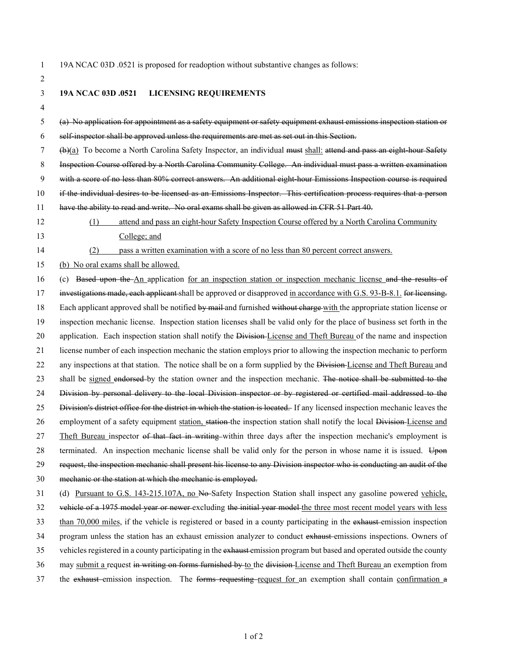1 19A NCAC 03D .0521 is proposed for readoption without substantive changes as follows:

- 2 3 **19A NCAC 03D .0521 LICENSING REQUIREMENTS** 4 5 (a) No application for appointment as a safety equipment or safety equipment exhaust emissions inspection station or 6 self-inspector shall be approved unless the requirements are met as set out in this Section. 7 (b)(a) To become a North Carolina Safety Inspector, an individual must shall: attend and pass an eight-hour Safety 8 Inspection Course offered by a North Carolina Community College. An individual must pass a written examination 9 with a score of no less than 80% correct answers. An additional eight-hour Emissions Inspection course is required 10 if the individual desires to be licensed as an Emissions Inspector. This certification process requires that a person 11 have the ability to read and write. No oral exams shall be given as allowed in CFR 51 Part 40. 12 (1) attend and pass an eight-hour Safety Inspection Course offered by a North Carolina Community 13 College; and 14 (2) pass a written examination with a score of no less than 80 percent correct answers. 15 (b) No oral exams shall be allowed. 16 (c) Based upon the An application for an inspection station or inspection mechanic license and the results of 17 investigations made, each applicant shall be approved or disapproved in accordance with G.S. 93-B-8.1. for licensing. 18 Each applicant approved shall be notified by mail and furnished without charge with the appropriate station license or 19 inspection mechanic license. Inspection station licenses shall be valid only for the place of business set forth in the 20 application. Each inspection station shall notify the Division-License and Theft Bureau of the name and inspection 21 license number of each inspection mechanic the station employs prior to allowing the inspection mechanic to perform 22 any inspections at that station. The notice shall be on a form supplied by the Division-License and Theft Bureau and 23 shall be signed endorsed by the station owner and the inspection mechanic. The notice shall be submitted to the 24 Division by personal delivery to the local Division inspector or by registered or certified mail addressed to the 25 Division's district office for the district in which the station is located. If any licensed inspection mechanic leaves the 26 employment of a safety equipment station, station the inspection station shall notify the local Division-License and 27 Theft Bureau inspector of that fact in writing within three days after the inspection mechanic's employment is 28 terminated. An inspection mechanic license shall be valid only for the person in whose name it is issued. Upon 29 request, the inspection mechanic shall present his license to any Division inspector who is conducting an audit of the 30 mechanic or the station at which the mechanic is employed. 31 (d) Pursuant to G.S. 143-215.107A, no No-Safety Inspection Station shall inspect any gasoline powered vehicle, 32 vehicle of a 1975 model year or newer excluding the initial year model the three most recent model years with less 33 than 70,000 miles, if the vehicle is registered or based in a county participating in the exhaust emission inspection 34 program unless the station has an exhaust emission analyzer to conduct exhaust emissions inspections. Owners of 35 vehicles registered in a county participating in the exhaust emission program but based and operated outside the county 36 may submit a request in writing on forms furnished by to the division License and Theft Bureau an exemption from
- 37 the exhaust emission inspection. The forms requesting request for an exemption shall contain confirmation a